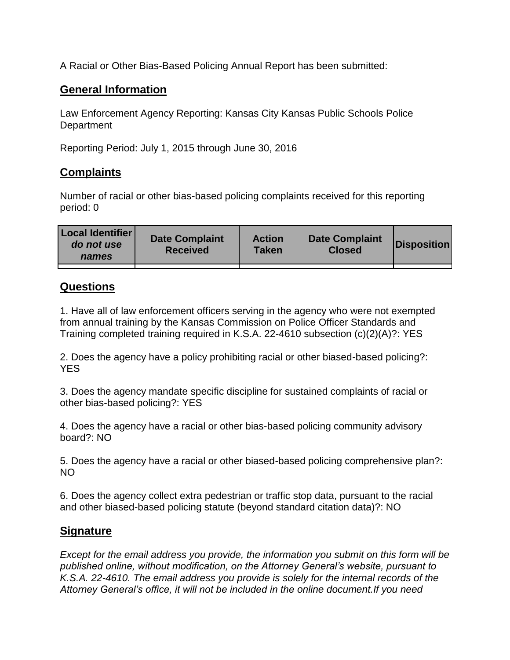A Racial or Other Bias-Based Policing Annual Report has been submitted:

## **General Information**

Law Enforcement Agency Reporting: Kansas City Kansas Public Schools Police **Department** 

Reporting Period: July 1, 2015 through June 30, 2016

## **Complaints**

Number of racial or other bias-based policing complaints received for this reporting period: 0

## **Questions**

1. Have all of law enforcement officers serving in the agency who were not exempted from annual training by the Kansas Commission on Police Officer Standards and Training completed training required in K.S.A. 22-4610 subsection (c)(2)(A)?: YES

2. Does the agency have a policy prohibiting racial or other biased-based policing?: YES

3. Does the agency mandate specific discipline for sustained complaints of racial or other bias-based policing?: YES

4. Does the agency have a racial or other bias-based policing community advisory board?: NO

5. Does the agency have a racial or other biased-based policing comprehensive plan?: NO

6. Does the agency collect extra pedestrian or traffic stop data, pursuant to the racial and other biased-based policing statute (beyond standard citation data)?: NO

## **Signature**

*Except for the email address you provide, the information you submit on this form will be published online, without modification, on the Attorney General's website, pursuant to K.S.A. 22-4610. The email address you provide is solely for the internal records of the Attorney General's office, it will not be included in the online document.If you need*